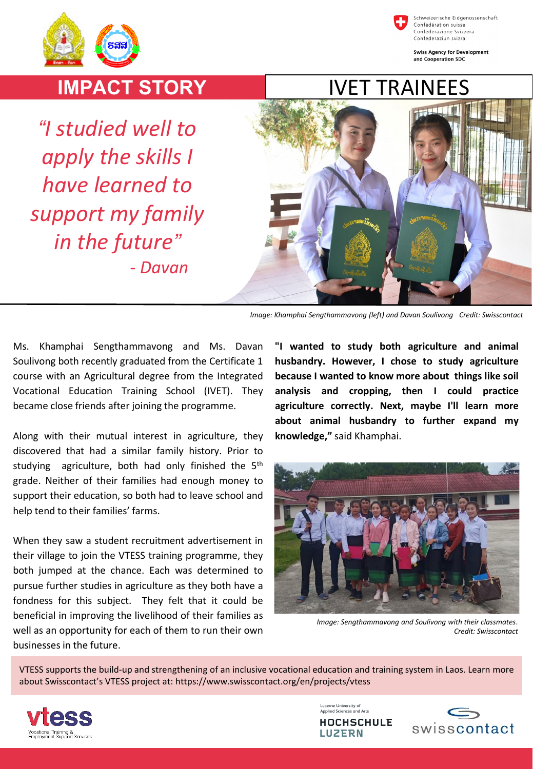



Schweizerische Eidgenossenschaft Confédération suisse Confederazione Svizzera Confederaziun svizra

**Swiss Agency for Development** and Cooperation SDC

## **IMPACT STORY**

*"I studied well to apply the skills I have learned to support my family in the future" - Davan*



*Image: Khamphai Sengthammavong (left) and Davan Soulivong Credit: Swisscontact*

Ms. Khamphai Sengthammavong and Ms. Davan Soulivong both recently graduated from the Certificate 1 course with an Agricultural degree from the Integrated Vocational Education Training School (IVET). They became close friends after joining the programme.

Along with their mutual interest in agriculture, they discovered that had a similar family history. Prior to studying agriculture, both had only finished the 5<sup>th</sup> grade. Neither of their families had enough money to support their education, so both had to leave school and help tend to their families' farms.

When they saw a student recruitment advertisement in their village to join the VTESS training programme, they both jumped at the chance. Each was determined to pursue further studies in agriculture as they both have a fondness for this subject. They felt that it could be beneficial in improving the livelihood of their families as well as an opportunity for each of them to run their own businesses in the future.

**"I wanted to study both agriculture and animal husbandry. However, I chose to study agriculture because I wanted to know more about things like soil analysis and cropping, then I could practice agriculture correctly. Next, maybe I'll learn more about animal husbandry to further expand my knowledge,"** said Khamphai.



*Image: Sengthammavong and Soulivong with their classmates*. *Credit: Swisscontact*

VTESS supports the build-up and strengthening of an inclusive vocational education and training system in Laos. Learn more about Swisscontact's VTESS project at: https://www.swisscontact.org/en/projects/vtess



Lucerne University of Applied Sciences and Arts **HOCHSCHULE LUZERN**